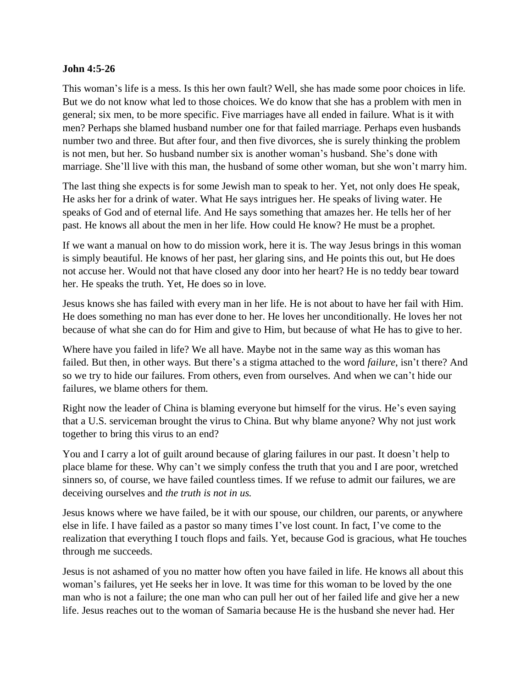## **John 4:5-26**

This woman's life is a mess. Is this her own fault? Well, she has made some poor choices in life. But we do not know what led to those choices. We do know that she has a problem with men in general; six men, to be more specific. Five marriages have all ended in failure. What is it with men? Perhaps she blamed husband number one for that failed marriage. Perhaps even husbands number two and three. But after four, and then five divorces, she is surely thinking the problem is not men, but her. So husband number six is another woman's husband. She's done with marriage. She'll live with this man, the husband of some other woman, but she won't marry him.

The last thing she expects is for some Jewish man to speak to her. Yet, not only does He speak, He asks her for a drink of water. What He says intrigues her. He speaks of living water. He speaks of God and of eternal life. And He says something that amazes her. He tells her of her past. He knows all about the men in her life. How could He know? He must be a prophet.

If we want a manual on how to do mission work, here it is. The way Jesus brings in this woman is simply beautiful. He knows of her past, her glaring sins, and He points this out, but He does not accuse her. Would not that have closed any door into her heart? He is no teddy bear toward her. He speaks the truth. Yet, He does so in love.

Jesus knows she has failed with every man in her life. He is not about to have her fail with Him. He does something no man has ever done to her. He loves her unconditionally. He loves her not because of what she can do for Him and give to Him, but because of what He has to give to her.

Where have you failed in life? We all have. Maybe not in the same way as this woman has failed. But then, in other ways. But there's a stigma attached to the word *failure*, isn't there? And so we try to hide our failures. From others, even from ourselves. And when we can't hide our failures, we blame others for them.

Right now the leader of China is blaming everyone but himself for the virus. He's even saying that a U.S. serviceman brought the virus to China. But why blame anyone? Why not just work together to bring this virus to an end?

You and I carry a lot of guilt around because of glaring failures in our past. It doesn't help to place blame for these. Why can't we simply confess the truth that you and I are poor, wretched sinners so, of course, we have failed countless times. If we refuse to admit our failures, we are deceiving ourselves and *the truth is not in us.*

Jesus knows where we have failed, be it with our spouse, our children, our parents, or anywhere else in life. I have failed as a pastor so many times I've lost count. In fact, I've come to the realization that everything I touch flops and fails. Yet, because God is gracious, what He touches through me succeeds.

Jesus is not ashamed of you no matter how often you have failed in life. He knows all about this woman's failures, yet He seeks her in love. It was time for this woman to be loved by the one man who is not a failure; the one man who can pull her out of her failed life and give her a new life. Jesus reaches out to the woman of Samaria because He is the husband she never had. Her